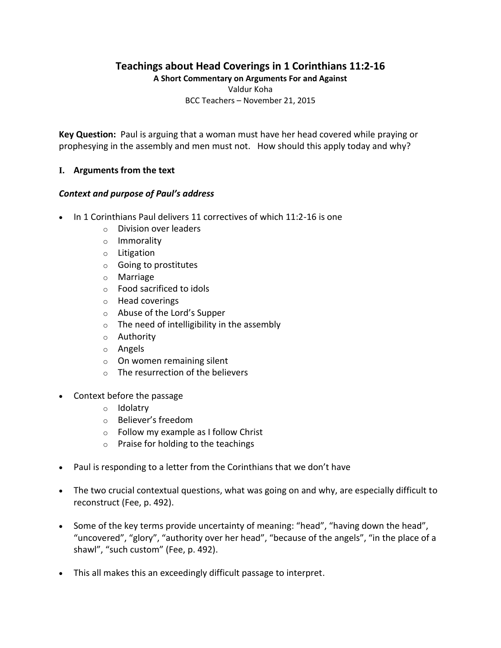# **Teachings about Head Coverings in 1 Corinthians 11:2-16**

**A Short Commentary on Arguments For and Against** Valdur Koha

BCC Teachers – November 21, 2015

**Key Question:** Paul is arguing that a woman must have her head covered while praying or prophesying in the assembly and men must not. How should this apply today and why?

#### **I. Arguments from the text**

#### *Context and purpose of Paul's address*

- In 1 Corinthians Paul delivers 11 correctives of which 11:2-16 is one
	- o Division over leaders
	- o Immorality
	- o Litigation
	- o Going to prostitutes
	- o Marriage
	- o Food sacrificed to idols
	- o Head coverings
	- o Abuse of the Lord's Supper
	- $\circ$  The need of intelligibility in the assembly
	- o Authority
	- o Angels
	- $\circ$  On women remaining silent
	- $\circ$  The resurrection of the believers
- Context before the passage
	- o Idolatry
	- o Believer's freedom
	- o Follow my example as I follow Christ
	- $\circ$  Praise for holding to the teachings
- Paul is responding to a letter from the Corinthians that we don't have
- The two crucial contextual questions, what was going on and why, are especially difficult to reconstruct (Fee, p. 492).
- Some of the key terms provide uncertainty of meaning: "head", "having down the head", "uncovered", "glory", "authority over her head", "because of the angels", "in the place of a shawl", "such custom" (Fee, p. 492).
- This all makes this an exceedingly difficult passage to interpret.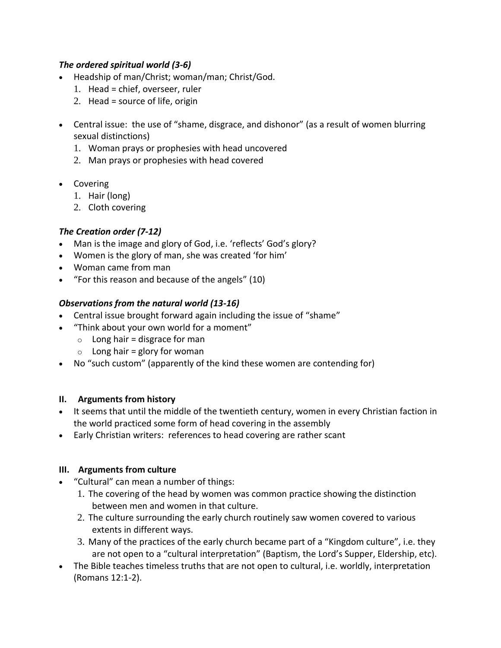## *The ordered spiritual world (3-6)*

- Headship of man/Christ; woman/man; Christ/God.
	- 1. Head = chief, overseer, ruler
	- 2. Head = source of life, origin
- Central issue: the use of "shame, disgrace, and dishonor" (as a result of women blurring sexual distinctions)
	- 1. Woman prays or prophesies with head uncovered
	- 2. Man prays or prophesies with head covered
- Covering
	- 1. Hair (long)
	- 2. Cloth covering

## *The Creation order (7-12)*

- Man is the image and glory of God, i.e. 'reflects' God's glory?
- Women is the glory of man, she was created 'for him'
- Woman came from man
- "For this reason and because of the angels" (10)

## *Observations from the natural world (13-16)*

- Central issue brought forward again including the issue of "shame"
- "Think about your own world for a moment"
	- $\circ$  Long hair = disgrace for man
	- $\circ$  Long hair = glory for woman
- No "such custom" (apparently of the kind these women are contending for)

## **II. Arguments from history**

- It seems that until the middle of the twentieth century, women in every Christian faction in the world practiced some form of head covering in the assembly
- Early Christian writers: references to head covering are rather scant

## **III. Arguments from culture**

- "Cultural" can mean a number of things:
	- 1. The covering of the head by women was common practice showing the distinction between men and women in that culture.
	- 2. The culture surrounding the early church routinely saw women covered to various extents in different ways.
	- 3. Many of the practices of the early church became part of a "Kingdom culture", i.e. they are not open to a "cultural interpretation" (Baptism, the Lord's Supper, Eldership, etc).
- The Bible teaches timeless truths that are not open to cultural, i.e. worldly, interpretation (Romans 12:1-2).